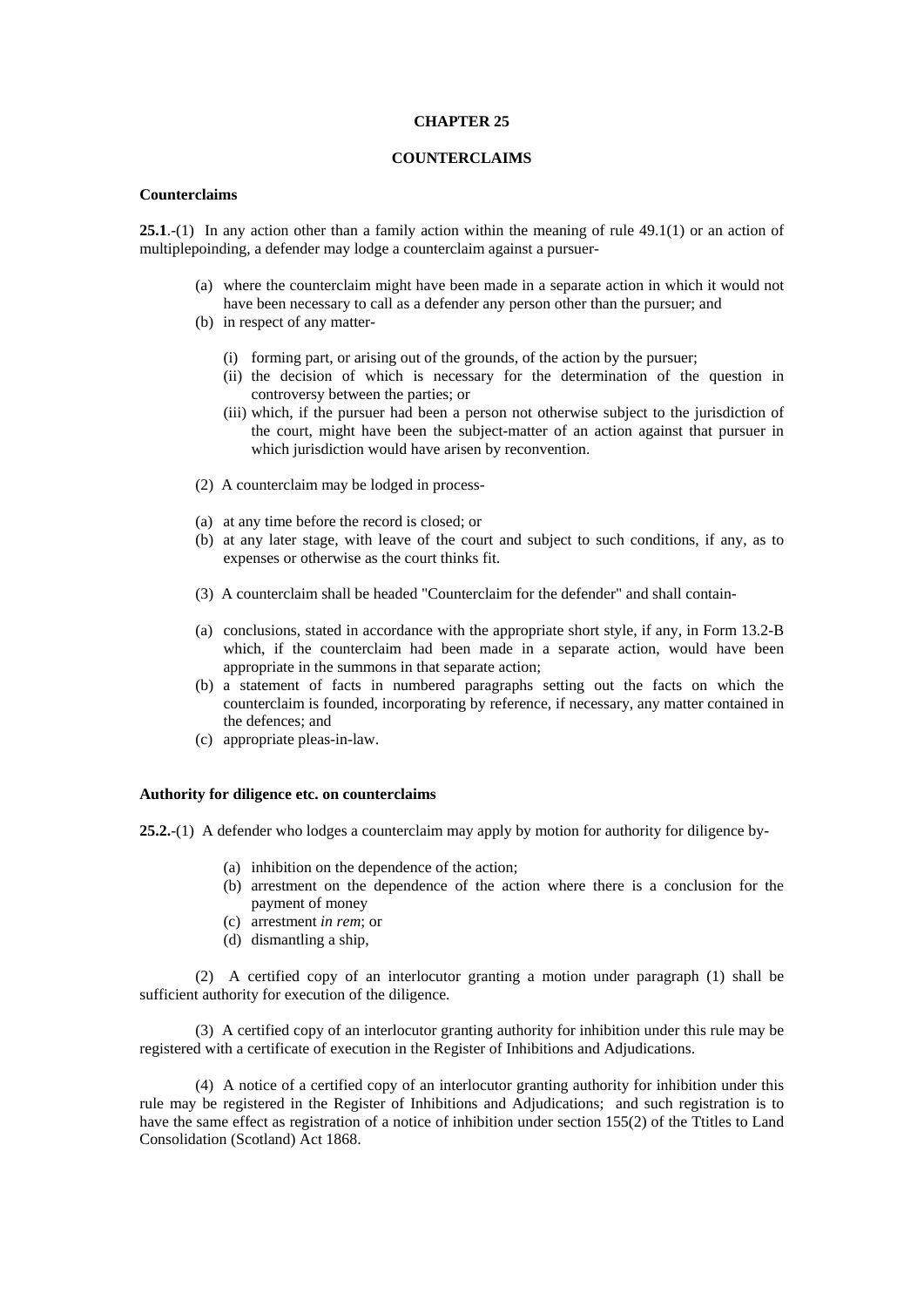#### **CHAPTER 25**

# **COUNTERCLAIMS**

# **Counterclaims**

**25.1**.-(1) In any action other than a family action within the meaning of rule 49.1(1) or an action of multiplepoinding, a defender may lodge a counterclaim against a pursuer-

- (a) where the counterclaim might have been made in a separate action in which it would not have been necessary to call as a defender any person other than the pursuer; and
- (b) in respect of any matter-
	- (i) forming part, or arising out of the grounds, of the action by the pursuer;
	- (ii) the decision of which is necessary for the determination of the question in controversy between the parties; or
	- (iii) which, if the pursuer had been a person not otherwise subject to the jurisdiction of the court, might have been the subject-matter of an action against that pursuer in which jurisdiction would have arisen by reconvention.
- (2) A counterclaim may be lodged in process-
- (a) at any time before the record is closed; or
- (b) at any later stage, with leave of the court and subject to such conditions, if any, as to expenses or otherwise as the court thinks fit.
- (3) A counterclaim shall be headed "Counterclaim for the defender" and shall contain-
- (a) conclusions, stated in accordance with the appropriate short style, if any, in Form 13.2-B which, if the counterclaim had been made in a separate action, would have been appropriate in the summons in that separate action;
- (b) a statement of facts in numbered paragraphs setting out the facts on which the counterclaim is founded, incorporating by reference, if necessary, any matter contained in the defences; and
- (c) appropriate pleas-in-law.

## **Authority for diligence etc. on counterclaims**

**25.2.**-(1) A defender who lodges a counterclaim may apply by motion for authority for diligence by-

- (a) inhibition on the dependence of the action;
- (b) arrestment on the dependence of the action where there is a conclusion for the payment of money
- (c) arrestment *in rem*; or
- (d) dismantling a ship,

(2) A certified copy of an interlocutor granting a motion under paragraph (1) shall be sufficient authority for execution of the diligence.

(3) A certified copy of an interlocutor granting authority for inhibition under this rule may be registered with a certificate of execution in the Register of Inhibitions and Adjudications.

(4) A notice of a certified copy of an interlocutor granting authority for inhibition under this rule may be registered in the Register of Inhibitions and Adjudications; and such registration is to have the same effect as registration of a notice of inhibition under section 155(2) of the Ttitles to Land Consolidation (Scotland) Act 1868.